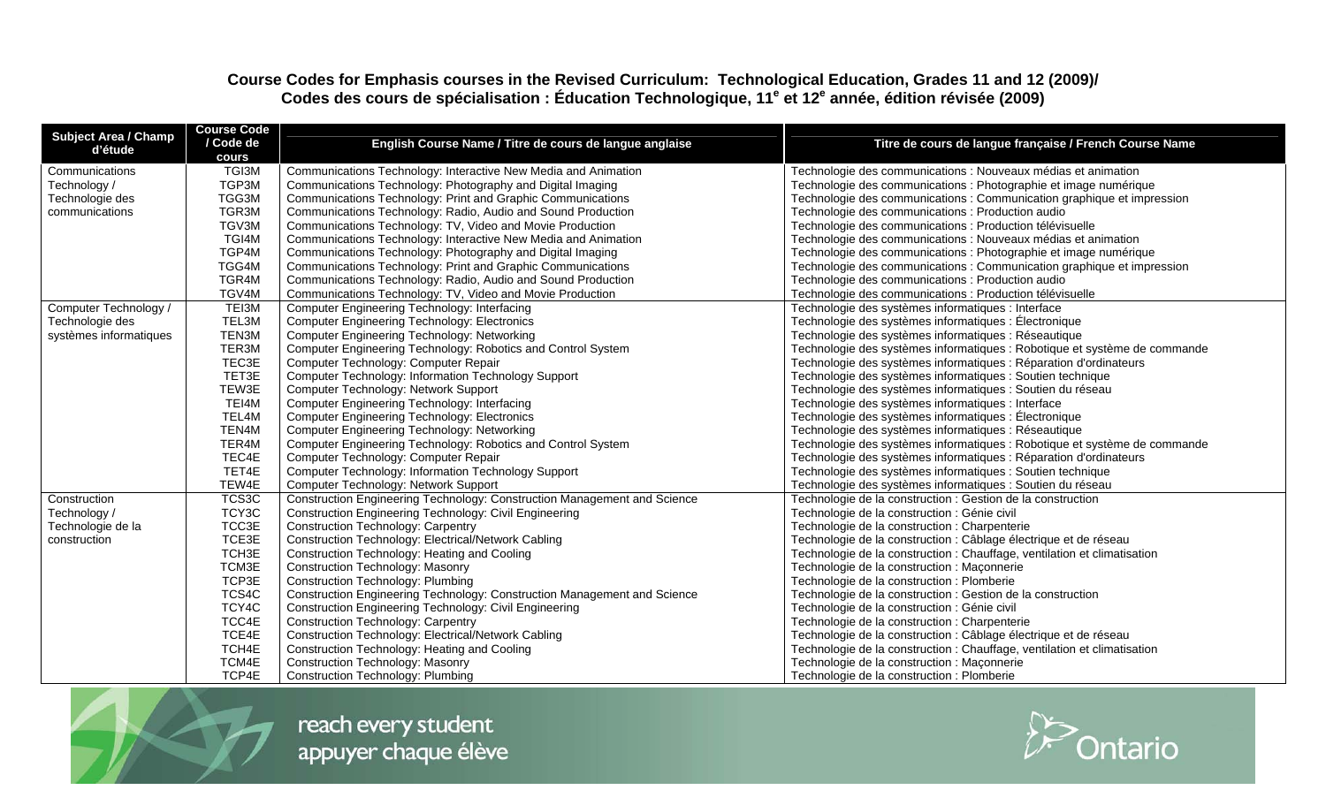## **Course Codes for Emphasis courses in the Revised Curriculum: Technological Education, Grades 11 and 12 (2009)/ Codes des cours de spécialisation : Éducation Technologique, 11e et 12e année, édition révisée (2009)**

| <b>Subject Area / Champ</b><br>d'étude | <b>Course Code</b><br>/ Code de<br>cours | English Course Name / Titre de cours de langue anglaise                  | Titre de cours de langue française / French Course Name                   |
|----------------------------------------|------------------------------------------|--------------------------------------------------------------------------|---------------------------------------------------------------------------|
| Communications                         | TGI3M                                    | Communications Technology: Interactive New Media and Animation           | Technologie des communications : Nouveaux médias et animation             |
| Technology /                           | TGP3M                                    | Communications Technology: Photography and Digital Imaging               | Technologie des communications : Photographie et image numérique          |
| Technologie des                        | TGG3M                                    | Communications Technology: Print and Graphic Communications              | Technologie des communications : Communication graphique et impression    |
| communications                         | TGR3M                                    | Communications Technology: Radio, Audio and Sound Production             | Technologie des communications : Production audio                         |
|                                        | TGV3M                                    | Communications Technology: TV, Video and Movie Production                | Technologie des communications : Production télévisuelle                  |
|                                        | TGI4M                                    | Communications Technology: Interactive New Media and Animation           | Technologie des communications : Nouveaux médias et animation             |
|                                        | TGP4M                                    | Communications Technology: Photography and Digital Imaging               | Technologie des communications : Photographie et image numérique          |
|                                        | TGG4M                                    | Communications Technology: Print and Graphic Communications              | Technologie des communications : Communication graphique et impression    |
|                                        | TGR4M                                    | Communications Technology: Radio, Audio and Sound Production             | Technologie des communications : Production audio                         |
|                                        | TGV4M                                    | Communications Technology: TV, Video and Movie Production                | Technologie des communications : Production télévisuelle                  |
| Computer Technology /                  | TEI3M                                    | Computer Engineering Technology: Interfacing                             | Technologie des systèmes informatiques : Interface                        |
| Technologie des                        | TEL3M                                    | <b>Computer Engineering Technology: Electronics</b>                      | Technologie des systèmes informatiques : Électronique                     |
| systèmes informatiques                 | TEN3M                                    | Computer Engineering Technology: Networking                              | Technologie des systèmes informatiques : Réseautique                      |
|                                        | TER3M                                    | Computer Engineering Technology: Robotics and Control System             | Technologie des systèmes informatiques : Robotique et système de commande |
|                                        | TEC3E                                    | Computer Technology: Computer Repair                                     | Technologie des systèmes informatiques : Réparation d'ordinateurs         |
|                                        | TET3E                                    | Computer Technology: Information Technology Support                      | Technologie des systèmes informatiques : Soutien technique                |
|                                        | TEW3E                                    | Computer Technology: Network Support                                     | Technologie des systèmes informatiques : Soutien du réseau                |
|                                        | TEI4M                                    | Computer Engineering Technology: Interfacing                             | Technologie des systèmes informatiques : Interface                        |
|                                        | TEL4M                                    | <b>Computer Engineering Technology: Electronics</b>                      | Technologie des systèmes informatiques : Électronique                     |
|                                        | TEN4M                                    | Computer Engineering Technology: Networking                              | Technologie des systèmes informatiques : Réseautique                      |
|                                        | TER4M                                    | Computer Engineering Technology: Robotics and Control System             | Technologie des systèmes informatiques : Robotique et système de commande |
|                                        | TEC4E                                    | Computer Technology: Computer Repair                                     | Technologie des systèmes informatiques : Réparation d'ordinateurs         |
|                                        | TET4E                                    | Computer Technology: Information Technology Support                      | Technologie des systèmes informatiques : Soutien technique                |
|                                        | TEW4E                                    | Computer Technology: Network Support                                     | Technologie des systèmes informatiques : Soutien du réseau                |
| Construction                           | TCS3C                                    | Construction Engineering Technology: Construction Management and Science | Technologie de la construction : Gestion de la construction               |
| Technology /                           | TCY3C                                    | <b>Construction Engineering Technology: Civil Engineering</b>            | Technologie de la construction : Génie civil                              |
| Technologie de la                      | TCC3E                                    | <b>Construction Technology: Carpentry</b>                                | Technologie de la construction : Charpenterie                             |
| construction                           | TCE3E                                    | Construction Technology: Electrical/Network Cabling                      | Technologie de la construction : Câblage électrique et de réseau          |
|                                        | TCH <sub>3E</sub>                        | Construction Technology: Heating and Cooling                             | Technologie de la construction : Chauffage, ventilation et climatisation  |
|                                        | TCM3E                                    | <b>Construction Technology: Masonry</b>                                  | Technologie de la construction : Maçonnerie                               |
|                                        | TCP3E                                    | <b>Construction Technology: Plumbing</b>                                 | Technologie de la construction : Plomberie                                |
|                                        | TCS4C                                    | Construction Engineering Technology: Construction Management and Science | Technologie de la construction : Gestion de la construction               |
|                                        | TCY4C                                    | <b>Construction Engineering Technology: Civil Engineering</b>            | Technologie de la construction : Génie civil                              |
|                                        | TCC4E                                    | <b>Construction Technology: Carpentry</b>                                | Technologie de la construction : Charpenterie                             |
|                                        | TCE4E                                    | Construction Technology: Electrical/Network Cabling                      | Technologie de la construction : Câblage électrique et de réseau          |
|                                        | TCH4E                                    | Construction Technology: Heating and Cooling                             | Technologie de la construction : Chauffage, ventilation et climatisation  |
|                                        | TCM4E                                    | <b>Construction Technology: Masonry</b>                                  | Technologie de la construction : Maçonnerie                               |
|                                        | TCP4E                                    | <b>Construction Technology: Plumbing</b>                                 | Technologie de la construction : Plomberie                                |



reach every student appuyer chaque élève

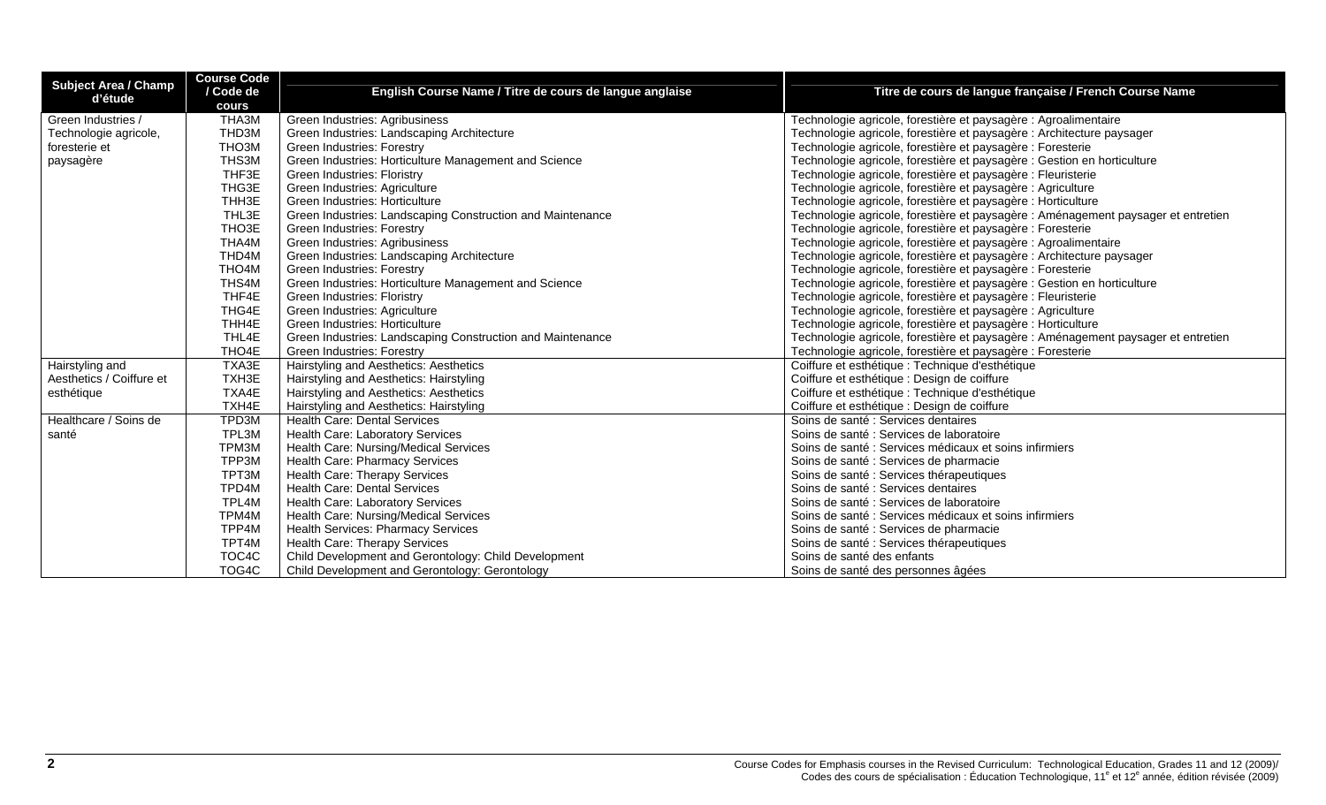| <b>Subject Area / Champ</b> | <b>Course Code</b> |                                                            |                                                                                   |
|-----------------------------|--------------------|------------------------------------------------------------|-----------------------------------------------------------------------------------|
| d'étude                     | / Code de          | English Course Name / Titre de cours de langue anglaise    | Titre de cours de langue française / French Course Name                           |
|                             | cours              |                                                            |                                                                                   |
| Green Industries /          | THA3M              | Green Industries: Agribusiness                             | Technologie agricole, forestière et paysagère : Agroalimentaire                   |
| Technologie agricole,       | THD3M              | Green Industries: Landscaping Architecture                 | Technologie agricole, forestière et paysagère : Architecture paysager             |
| foresterie et               | THO3M              | Green Industries: Forestry                                 | Technologie agricole, forestière et paysagère : Foresterie                        |
| paysagère                   | THS3M              | Green Industries: Horticulture Management and Science      | Technologie agricole, forestière et paysagère : Gestion en horticulture           |
|                             | THF3E              | Green Industries: Floristry                                | Technologie agricole, forestière et paysagère : Fleuristerie                      |
|                             | THG3E              | Green Industries: Agriculture                              | Technologie agricole, forestière et paysagère : Agriculture                       |
|                             | THH3E              | Green Industries: Horticulture                             | Technologie agricole, forestière et paysagère : Horticulture                      |
|                             | THL3E              | Green Industries: Landscaping Construction and Maintenance | Technologie agricole, forestière et paysagère : Aménagement paysager et entretien |
|                             | THO <sub>3</sub> E | Green Industries: Forestry                                 | Technologie agricole, forestière et paysagère : Foresterie                        |
|                             | THA4M              | Green Industries: Agribusiness                             | Technologie agricole, forestière et paysagère : Agroalimentaire                   |
|                             | THD4M              | Green Industries: Landscaping Architecture                 | Technologie agricole, forestière et paysagère : Architecture paysager             |
|                             | THO4M              | Green Industries: Forestry                                 | Technologie agricole, forestière et paysagère : Foresterie                        |
|                             | THS4M              | Green Industries: Horticulture Management and Science      | Technologie agricole, forestière et paysagère : Gestion en horticulture           |
|                             | THF4E              | Green Industries: Floristry                                | Technologie agricole, forestière et paysagère : Fleuristerie                      |
|                             | THG4E              | Green Industries: Agriculture                              | Technologie agricole, forestière et paysagère : Agriculture                       |
|                             | THH4E              | Green Industries: Horticulture                             | Technologie agricole, forestière et paysagère : Horticulture                      |
|                             | THL4E              | Green Industries: Landscaping Construction and Maintenance | Technologie agricole, forestière et paysagère : Aménagement paysager et entretien |
|                             | THO4E              | Green Industries: Forestry                                 | Technologie agricole, forestière et paysagère : Foresterie                        |
| Hairstyling and             | TXA3E              | Hairstyling and Aesthetics: Aesthetics                     | Coiffure et esthétique : Technique d'esthétique                                   |
| Aesthetics / Coiffure et    | TXH3E              | Hairstyling and Aesthetics: Hairstyling                    | Coiffure et esthétique : Design de coiffure                                       |
| esthétique                  | TXA4E              | Hairstyling and Aesthetics: Aesthetics                     | Coiffure et esthétique : Technique d'esthétique                                   |
|                             | TXH4E              | Hairstyling and Aesthetics: Hairstyling                    | Coiffure et esthétique : Design de coiffure                                       |
| Healthcare / Soins de       | TPD3M              | <b>Health Care: Dental Services</b>                        | Soins de santé : Services dentaires                                               |
| santé                       | TPL3M              | Health Care: Laboratory Services                           | Soins de santé : Services de laboratoire                                          |
|                             | TPM3M              | Health Care: Nursing/Medical Services                      | Soins de santé : Services médicaux et soins infirmiers                            |
|                             | TPP3M              | Health Care: Pharmacy Services                             | Soins de santé : Services de pharmacie                                            |
|                             | TPT3M              | Health Care: Therapy Services                              | Soins de santé : Services thérapeutiques                                          |
|                             | TPD4M              | <b>Health Care: Dental Services</b>                        | Soins de santé : Services dentaires                                               |
|                             | TPL4M              | Health Care: Laboratory Services                           | Soins de santé : Services de laboratoire                                          |
|                             | TPM4M              | Health Care: Nursing/Medical Services                      | Soins de santé : Services médicaux et soins infirmiers                            |
|                             | TPP4M              | <b>Health Services: Pharmacy Services</b>                  | Soins de santé : Services de pharmacie                                            |
|                             | TPT4M              | Health Care: Therapy Services                              | Soins de santé : Services thérapeutiques                                          |
|                             | TOC4C              | Child Development and Gerontology: Child Development       | Soins de santé des enfants                                                        |
|                             | TOG4C              | Child Development and Gerontology: Gerontology             | Soins de santé des personnes âgées                                                |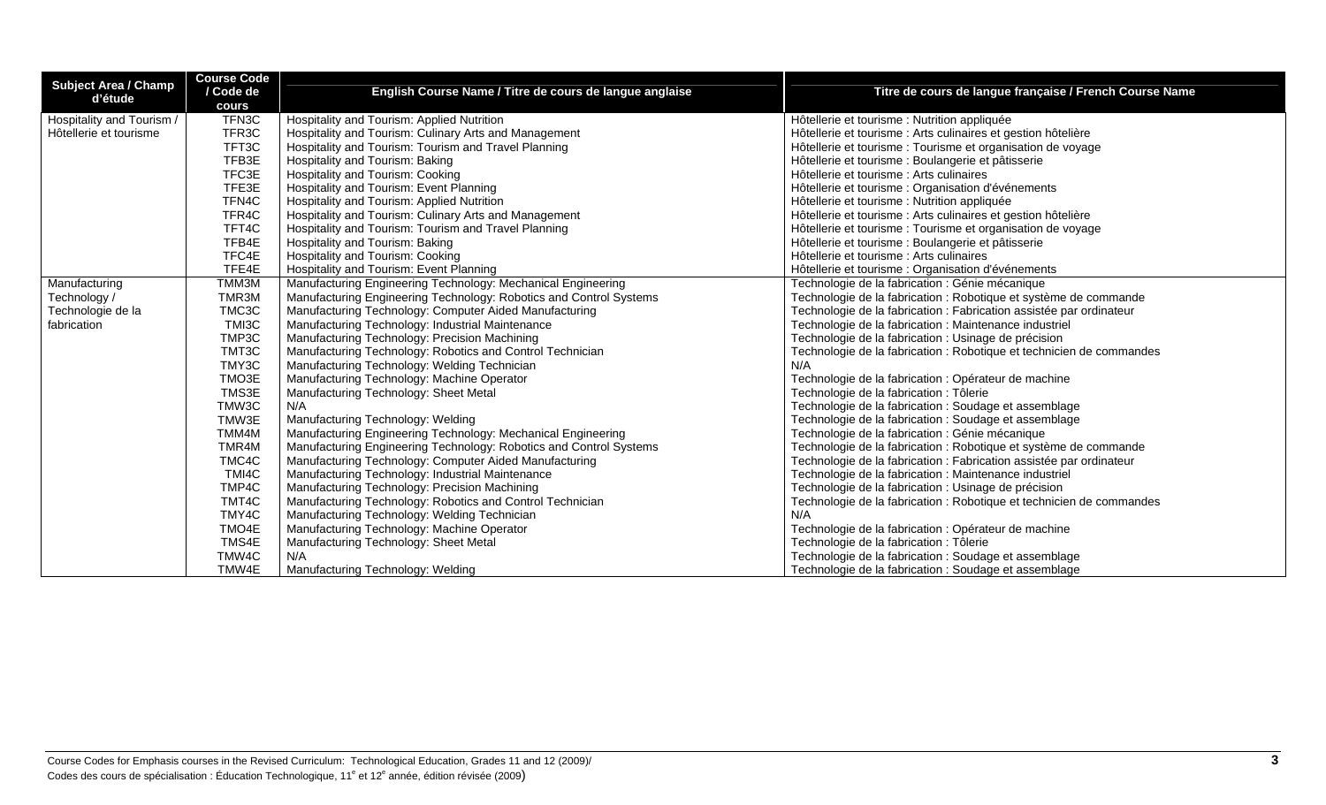| <b>Subject Area / Champ</b><br>d'étude | <b>Course Code</b> |                                                                    |                                                                      |
|----------------------------------------|--------------------|--------------------------------------------------------------------|----------------------------------------------------------------------|
|                                        | / Code de          | English Course Name / Titre de cours de langue anglaise            | Titre de cours de langue française / French Course Name              |
|                                        | cours              |                                                                    |                                                                      |
| Hospitality and Tourism /              | TFN3C              | Hospitality and Tourism: Applied Nutrition                         | Hôtellerie et tourisme : Nutrition appliquée                         |
| Hôtellerie et tourisme                 | TFR <sub>3</sub> C | Hospitality and Tourism: Culinary Arts and Management              | Hôtellerie et tourisme : Arts culinaires et gestion hôtelière        |
|                                        | TFT3C              | Hospitality and Tourism: Tourism and Travel Planning               | Hôtellerie et tourisme : Tourisme et organisation de voyage          |
|                                        | TFB3E              | Hospitality and Tourism: Baking                                    | Hôtellerie et tourisme : Boulangerie et pâtisserie                   |
|                                        | TFC3E              | Hospitality and Tourism: Cooking                                   | Hôtellerie et tourisme : Arts culinaires                             |
|                                        | TFE3E              | Hospitality and Tourism: Event Planning                            | Hôtellerie et tourisme : Organisation d'événements                   |
|                                        | TFN4C              | Hospitality and Tourism: Applied Nutrition                         | Hôtellerie et tourisme : Nutrition appliquée                         |
|                                        | TFR <sub>4</sub> C | Hospitality and Tourism: Culinary Arts and Management              | Hôtellerie et tourisme : Arts culinaires et gestion hôtelière        |
|                                        | TFT4C              | Hospitality and Tourism: Tourism and Travel Planning               | Hôtellerie et tourisme : Tourisme et organisation de voyage          |
|                                        | TFB4E              | Hospitality and Tourism: Baking                                    | Hôtellerie et tourisme : Boulangerie et pâtisserie                   |
|                                        | TFC4E              | Hospitality and Tourism: Cooking                                   | Hôtellerie et tourisme : Arts culinaires                             |
|                                        | TFE4E              | Hospitality and Tourism: Event Planning                            | Hôtellerie et tourisme : Organisation d'événements                   |
| Manufacturing                          | TMM3M              | Manufacturing Engineering Technology: Mechanical Engineering       | Technologie de la fabrication : Génie mécanique                      |
| Technology /                           | TMR3M              | Manufacturing Engineering Technology: Robotics and Control Systems | Technologie de la fabrication : Robotique et système de commande     |
| Technologie de la                      | TMC3C              | Manufacturing Technology: Computer Aided Manufacturing             | Technologie de la fabrication : Fabrication assistée par ordinateur  |
| fabrication                            | TMI3C              | Manufacturing Technology: Industrial Maintenance                   | Technologie de la fabrication : Maintenance industriel               |
|                                        | TMP3C              | Manufacturing Technology: Precision Machining                      | Technologie de la fabrication : Usinage de précision                 |
|                                        | TMT3C              | Manufacturing Technology: Robotics and Control Technician          | Technologie de la fabrication : Robotique et technicien de commandes |
|                                        | TMY3C              | Manufacturing Technology: Welding Technician                       | N/A                                                                  |
|                                        | TMO3E              | Manufacturing Technology: Machine Operator                         | Technologie de la fabrication : Opérateur de machine                 |
|                                        | TMS3E              | Manufacturing Technology: Sheet Metal                              | Technologie de la fabrication : Tôlerie                              |
|                                        | TMW3C              | N/A                                                                | Technologie de la fabrication : Soudage et assemblage                |
|                                        | TMW3E              | Manufacturing Technology: Welding                                  | Technologie de la fabrication : Soudage et assemblage                |
|                                        | TMM4M              | Manufacturing Engineering Technology: Mechanical Engineering       | Technologie de la fabrication : Génie mécanique                      |
|                                        | TMR4M              | Manufacturing Engineering Technology: Robotics and Control Systems | Technologie de la fabrication : Robotique et système de commande     |
|                                        | TMC4C              | Manufacturing Technology: Computer Aided Manufacturing             | Technologie de la fabrication : Fabrication assistée par ordinateur  |
|                                        | TMI4C              | Manufacturing Technology: Industrial Maintenance                   | Technologie de la fabrication : Maintenance industriel               |
|                                        | TMP4C              | Manufacturing Technology: Precision Machining                      | Technologie de la fabrication : Usinage de précision                 |
|                                        | TMT4C              | Manufacturing Technology: Robotics and Control Technician          | Technologie de la fabrication : Robotique et technicien de commandes |
|                                        | TMY4C              | Manufacturing Technology: Welding Technician                       | N/A                                                                  |
|                                        | TMO4E              | Manufacturing Technology: Machine Operator                         | Technologie de la fabrication : Opérateur de machine                 |
|                                        | TMS4E              | Manufacturing Technology: Sheet Metal                              | Technologie de la fabrication : Tôlerie                              |
|                                        | TMW4C              | N/A                                                                | Technologie de la fabrication : Soudage et assemblage                |
|                                        | TMW4E              | Manufacturing Technology: Welding                                  | Technologie de la fabrication : Soudage et assemblage                |